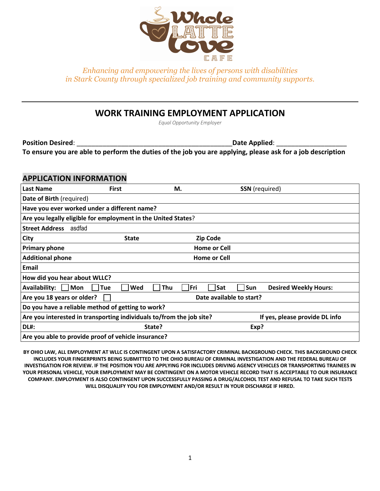

# **WORK TRAINING EMPLOYMENT APPLICATION**

*Equal Opportunity Employer*

**Position Desired**: \_\_\_\_\_\_\_\_\_\_\_\_\_\_\_\_\_\_\_\_\_\_\_\_\_\_\_\_\_\_\_\_\_\_\_\_\_\_\_\_\_\_**Date Applied**: \_\_\_\_\_\_\_\_\_\_\_\_\_\_\_\_\_\_\_ **To ensure you are able to perform the duties of the job you are applying, please ask for a job description**

### **APPLICATION INFORMATION**

| <b>Last Name</b>                                                     | <b>First</b> | М.                       | <b>SSN</b> (required)          |                              |  |
|----------------------------------------------------------------------|--------------|--------------------------|--------------------------------|------------------------------|--|
| Date of Birth (required)                                             |              |                          |                                |                              |  |
| Have you ever worked under a different name?                         |              |                          |                                |                              |  |
| Are you legally eligible for employment in the United States?        |              |                          |                                |                              |  |
| <b>Street Address</b><br>asdfad                                      |              |                          |                                |                              |  |
| City                                                                 | <b>State</b> |                          | <b>Zip Code</b>                |                              |  |
| <b>Primary phone</b>                                                 |              |                          | <b>Home or Cell</b>            |                              |  |
| <b>Additional phone</b>                                              |              | <b>Home or Cell</b>      |                                |                              |  |
| Email                                                                |              |                          |                                |                              |  |
| How did you hear about WLLC?                                         |              |                          |                                |                              |  |
| <b>Availability:</b><br> Mon                                         | Tue<br>Wed   | Thu<br> Fri              | Sat<br>Sun                     | <b>Desired Weekly Hours:</b> |  |
| Are you 18 years or older?                                           |              | Date available to start? |                                |                              |  |
| Do you have a reliable method of getting to work?                    |              |                          |                                |                              |  |
| Are you interested in transporting individuals to/from the job site? |              |                          | If yes, please provide DL info |                              |  |
| <b>DL#:</b>                                                          |              | State?                   |                                | Exp?                         |  |
| Are you able to provide proof of vehicle insurance?                  |              |                          |                                |                              |  |

**BY OHIO LAW, ALL EMPLOYMENT AT WLLC IS CONTINGENT UPON A SATISFACTORY CRIMINAL BACKGROUND CHECK. THIS BACKGROUND CHECK INCLUDES YOUR FINGERPRINTS BEING SUBMITTED TO THE OHIO BUREAU OF CRIMINAL INVESTIGATION AND THE FEDERAL BUREAU OF INVESTIGATION FOR REVIEW. IF THE POSITION YOU ARE APPLYING FOR INCLUDES DRIVING AGENCY VEHICLES OR TRANSPORTING TRAINEES IN YOUR PERSONAL VEHICLE, YOUR EMPLOYMENT MAY BE CONTINGENT ON A MOTOR VEHICLE RECORD THAT IS ACCEPTABLE TO OUR INSURANCE COMPANY. EMPLOYMENT IS ALSO CONTINGENT UPON SUCCESSFULLY PASSING A DRUG/ALCOHOL TEST AND REFUSAL TO TAKE SUCH TESTS WILL DISQUALIFY YOU FOR EMPLOYMENT AND/OR RESULT IN YOUR DISCHARGE IF HIRED.**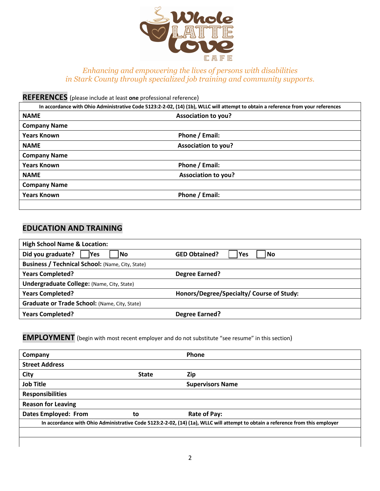

**REFERENCES** (please include at least **one** professional reference)

|                     | In accordance with Ohio Administrative Code 5123:2-2-02, (14) (1b), WLLC will attempt to obtain a reference from your references |
|---------------------|----------------------------------------------------------------------------------------------------------------------------------|
| <b>NAME</b>         | <b>Association to you?</b>                                                                                                       |
| <b>Company Name</b> |                                                                                                                                  |
| <b>Years Known</b>  | Phone / Email:                                                                                                                   |
| <b>NAME</b>         | Association to you?                                                                                                              |
| <b>Company Name</b> |                                                                                                                                  |
| <b>Years Known</b>  | Phone / Email:                                                                                                                   |
| <b>NAME</b>         | <b>Association to you?</b>                                                                                                       |
| <b>Company Name</b> |                                                                                                                                  |
| <b>Years Known</b>  | Phone / Email:                                                                                                                   |
|                     |                                                                                                                                  |

## **EDUCATION AND TRAINING**

| <b>High School Name &amp; Location:</b>                 |                                           |  |  |  |
|---------------------------------------------------------|-------------------------------------------|--|--|--|
| Did you graduate?<br>Yes<br>l No                        | <b>GED Obtained?</b><br>l Yes<br>l No     |  |  |  |
| <b>Business / Technical School: (Name, City, State)</b> |                                           |  |  |  |
| <b>Years Completed?</b>                                 | <b>Degree Earned?</b>                     |  |  |  |
| <b>Undergraduate College: (Name, City, State)</b>       |                                           |  |  |  |
| <b>Years Completed?</b>                                 | Honors/Degree/Specialty/ Course of Study: |  |  |  |
| Graduate or Trade School: (Name, City, State)           |                                           |  |  |  |
| <b>Years Completed?</b>                                 | <b>Degree Earned?</b>                     |  |  |  |

**EMPLOYMENT** (begin with most recent employer and do not substitute "see resume" in this section)

| Company                     |              | Phone                                                                                                                          |
|-----------------------------|--------------|--------------------------------------------------------------------------------------------------------------------------------|
| <b>Street Address</b>       |              |                                                                                                                                |
| City                        | <b>State</b> | Zip                                                                                                                            |
| <b>Job Title</b>            |              | <b>Supervisors Name</b>                                                                                                        |
| <b>Responsibilities</b>     |              |                                                                                                                                |
| <b>Reason for Leaving</b>   |              |                                                                                                                                |
| <b>Dates Employed: From</b> | to           | Rate of Pay:                                                                                                                   |
|                             |              | In accordance with Ohio Administrative Code 5123:2-2-02, (14) (1a), WLLC will attempt to obtain a reference from this employer |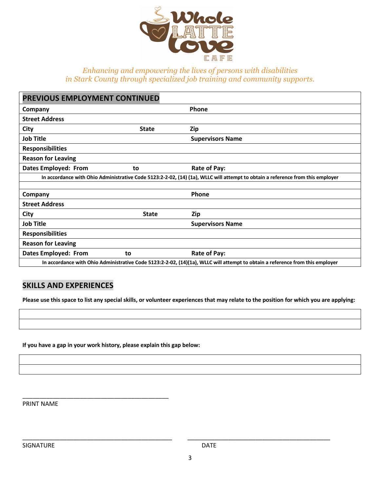

| PREVIOUS EMPLOYMENT CONTINUED                                                                                                  |              |                         |  |  |
|--------------------------------------------------------------------------------------------------------------------------------|--------------|-------------------------|--|--|
| Company                                                                                                                        |              | Phone                   |  |  |
| <b>Street Address</b>                                                                                                          |              |                         |  |  |
| City                                                                                                                           | <b>State</b> | Zip                     |  |  |
| <b>Job Title</b>                                                                                                               |              | <b>Supervisors Name</b> |  |  |
| <b>Responsibilities</b>                                                                                                        |              |                         |  |  |
| <b>Reason for Leaving</b>                                                                                                      |              |                         |  |  |
| <b>Dates Employed: From</b>                                                                                                    | to           | Rate of Pay:            |  |  |
| In accordance with Ohio Administrative Code 5123:2-2-02, (14) (1a), WLLC will attempt to obtain a reference from this employer |              |                         |  |  |
|                                                                                                                                |              |                         |  |  |
| Company                                                                                                                        |              | Phone                   |  |  |
| <b>Street Address</b>                                                                                                          |              |                         |  |  |
| City                                                                                                                           | <b>State</b> | Zip                     |  |  |
| <b>Job Title</b>                                                                                                               |              | <b>Supervisors Name</b> |  |  |
| <b>Responsibilities</b>                                                                                                        |              |                         |  |  |
| <b>Reason for Leaving</b>                                                                                                      |              |                         |  |  |
| <b>Dates Employed: From</b>                                                                                                    | to           | Rate of Pay:            |  |  |
| In accordance with Ohio Administrative Code 5123:2-2-02, (14)(1a), WLLC will attempt to obtain a reference from this employer  |              |                         |  |  |

### **SKILLS AND EXPERIENCES**

**Please use this space to list any special skills, or volunteer experiences that may relate to the position for which you are applying:**

**If you have a gap in your work history, please explain this gap below:**

\_\_\_\_\_\_\_\_\_\_\_\_\_\_\_\_\_\_\_\_\_\_\_\_\_\_\_\_\_\_\_\_\_\_\_\_\_\_\_\_\_\_\_

PRINT NAME

SIGNATURE DATE

\_\_\_\_\_\_\_\_\_\_\_\_\_\_\_\_\_\_\_\_\_\_\_\_\_\_\_\_\_\_\_\_\_\_\_\_\_\_\_\_\_\_\_\_ \_\_\_\_\_\_\_\_\_\_\_\_\_\_\_\_\_\_\_\_\_\_\_\_\_\_\_\_\_\_\_\_\_\_\_\_\_\_\_\_\_\_